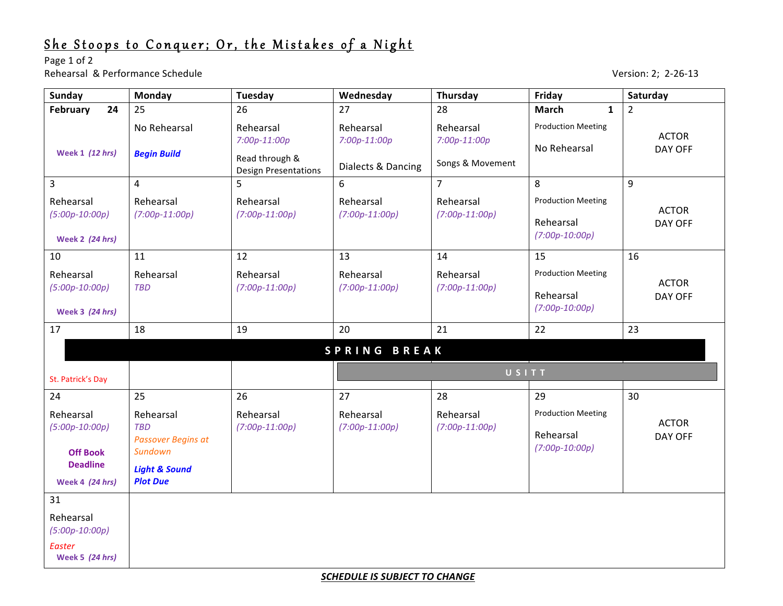## She Stoops to Conquer; Or, the Mistakes of a Night

Page 1 of 2 Rehearsal & Performance Schedule and the set of the set of the set of the set of the Version: 2; 2-26-13

| <b>Sunday</b>                                                                                 | Monday                                                                                                         | <b>Tuesday</b>                                                               | Wednesday                                         | Thursday                                        | Friday                                                     | Saturday                |  |  |  |
|-----------------------------------------------------------------------------------------------|----------------------------------------------------------------------------------------------------------------|------------------------------------------------------------------------------|---------------------------------------------------|-------------------------------------------------|------------------------------------------------------------|-------------------------|--|--|--|
| February<br>24                                                                                | 25                                                                                                             | 26                                                                           | 27                                                | 28                                              | <b>March</b><br>$\mathbf{1}$                               | $\overline{2}$          |  |  |  |
| <b>Week 1 (12 hrs)</b>                                                                        | No Rehearsal<br><b>Begin Build</b>                                                                             | Rehearsal<br>$7:00p-11:00p$<br>Read through &<br><b>Design Presentations</b> | Rehearsal<br>$7:00p-11:00p$<br>Dialects & Dancing | Rehearsal<br>$7:00p-11:00p$<br>Songs & Movement | <b>Production Meeting</b><br>No Rehearsal                  | <b>ACTOR</b><br>DAY OFF |  |  |  |
| 3                                                                                             | 4                                                                                                              | 5                                                                            | 6                                                 | $\overline{7}$                                  | 8                                                          | 9                       |  |  |  |
| Rehearsal<br>$(5:00p-10:00p)$<br><b>Week 2 (24 hrs)</b>                                       | Rehearsal<br>$(7:00p-11:00p)$                                                                                  | Rehearsal<br>$(7:00p-11:00p)$                                                | Rehearsal<br>$(7:00p-11:00p)$                     | Rehearsal<br>$(7:00p-11:00p)$                   | <b>Production Meeting</b><br>Rehearsal<br>$(7:00p-10:00p)$ | <b>ACTOR</b><br>DAY OFF |  |  |  |
| 10                                                                                            | 11                                                                                                             | 12                                                                           | 13                                                | 14                                              | 15                                                         | 16                      |  |  |  |
| Rehearsal<br>$(5:00p-10:00p)$<br><b>Week 3 (24 hrs)</b>                                       | Rehearsal<br><b>TBD</b>                                                                                        | Rehearsal<br>$(7:00p-11:00p)$                                                | Rehearsal<br>$(7:00p-11:00p)$                     | Rehearsal<br>$(7:00p-11:00p)$                   | <b>Production Meeting</b><br>Rehearsal<br>$(7:00p-10:00p)$ | <b>ACTOR</b><br>DAY OFF |  |  |  |
| 17                                                                                            | 18                                                                                                             | 19                                                                           | 20                                                | 21                                              | 22                                                         | 23                      |  |  |  |
| SPRING BREAK                                                                                  |                                                                                                                |                                                                              |                                                   |                                                 |                                                            |                         |  |  |  |
| St. Patrick's Day                                                                             |                                                                                                                |                                                                              | USITT                                             |                                                 |                                                            |                         |  |  |  |
| 24                                                                                            | 25                                                                                                             | 26                                                                           | 27                                                | 28                                              | 29                                                         | 30                      |  |  |  |
| Rehearsal<br>$(5:00p-10:00p)$<br><b>Off Book</b><br><b>Deadline</b><br><b>Week 4 (24 hrs)</b> | Rehearsal<br><b>TBD</b><br><b>Passover Begins at</b><br>Sundown<br><b>Light &amp; Sound</b><br><b>Plot Due</b> | Rehearsal<br>$(7:00p-11:00p)$                                                | Rehearsal<br>$(7:00p-11:00p)$                     | Rehearsal<br>$(7:00p-11:00p)$                   | <b>Production Meeting</b><br>Rehearsal<br>$(7:00p-10:00p)$ | <b>ACTOR</b><br>DAY OFF |  |  |  |
| 31                                                                                            |                                                                                                                |                                                                              |                                                   |                                                 |                                                            |                         |  |  |  |
| Rehearsal<br>$(5:00p-10:00p)$<br><b>Easter</b>                                                |                                                                                                                |                                                                              |                                                   |                                                 |                                                            |                         |  |  |  |
| <b>Week 5 (24 hrs)</b>                                                                        |                                                                                                                |                                                                              |                                                   |                                                 |                                                            |                         |  |  |  |